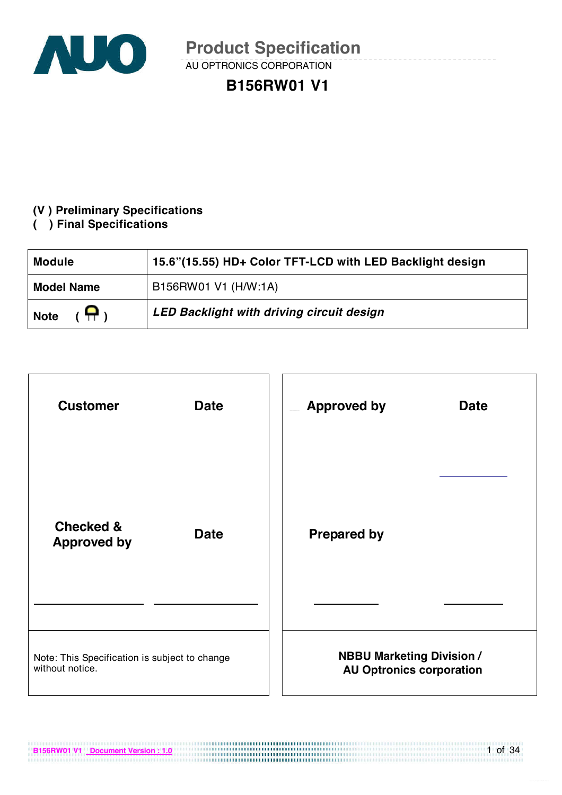

AU OPTRONICS CORPORATION

## **B156RW01 V1**

### **(V ) Preliminary Specifications**

**( ) Final Specifications** 

| <b>Module</b>     | 15.6"(15.55) HD+ Color TFT-LCD with LED Backlight design |  |  |  |
|-------------------|----------------------------------------------------------|--|--|--|
| <b>Model Name</b> | B156RW01 V1 (H/W:1A)                                     |  |  |  |
| Я,<br><b>Note</b> | LED Backlight with driving circuit design                |  |  |  |



**B156RW01 V1 Document Version : 1.0**

1 of 34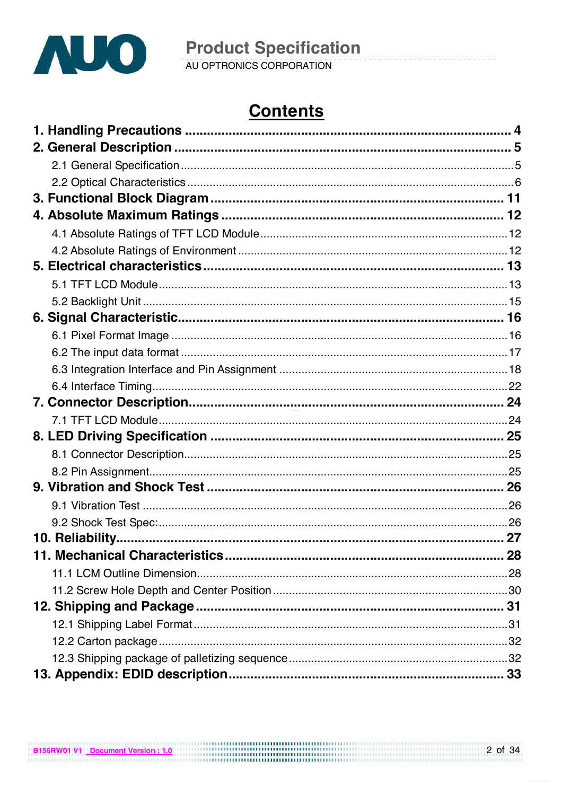

# **Contents**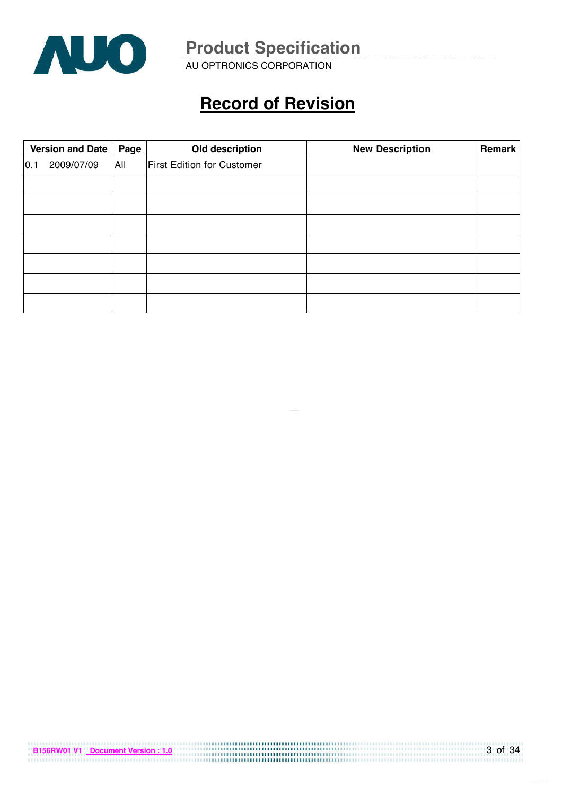

AU OPTRONICS CORPORATION

## **Record of Revision**

|     | <b>Version and Date</b> | Page | Old description                   | <b>New Description</b> | Remark |
|-----|-------------------------|------|-----------------------------------|------------------------|--------|
| 0.1 | 2009/07/09              | All  | <b>First Edition for Customer</b> |                        |        |
|     |                         |      |                                   |                        |        |
|     |                         |      |                                   |                        |        |
|     |                         |      |                                   |                        |        |
|     |                         |      |                                   |                        |        |
|     |                         |      |                                   |                        |        |
|     |                         |      |                                   |                        |        |
|     |                         |      |                                   |                        |        |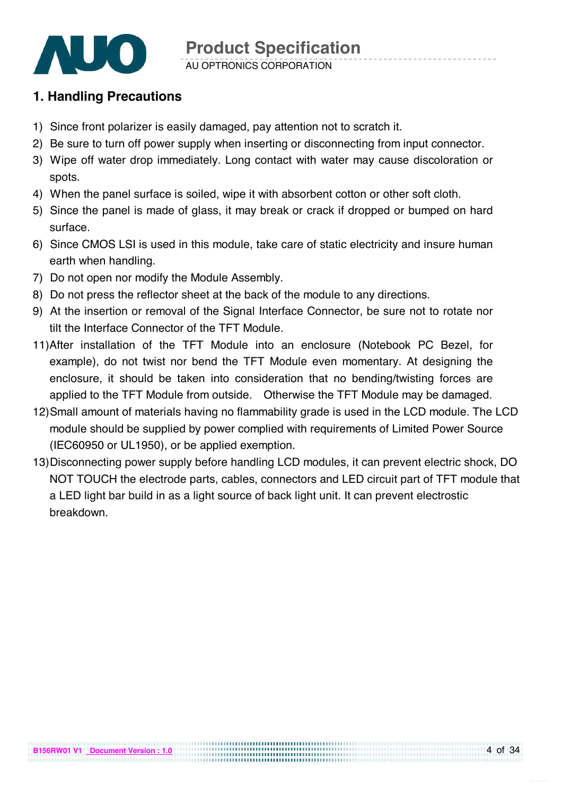

AU OPTRONICS CORPORATION

## **1. Handling Precautions**

- 1) Since front polarizer is easily damaged, pay attention not to scratch it.
- 2) Be sure to turn off power supply when inserting or disconnecting from input connector.
- 3) Wipe off water drop immediately. Long contact with water may cause discoloration or spots.
- 4) When the panel surface is soiled, wipe it with absorbent cotton or other soft cloth.
- 5) Since the panel is made of glass, it may break or crack if dropped or bumped on hard surface.
- 6) Since CMOS LSI is used in this module, take care of static electricity and insure human earth when handling.
- 7) Do not open nor modify the Module Assembly.
- 8) Do not press the reflector sheet at the back of the module to any directions.
- 9) At the insertion or removal of the Signal Interface Connector, be sure not to rotate nor tilt the Interface Connector of the TFT Module.
- 11)After installation of the TFT Module into an enclosure (Notebook PC Bezel, for example), do not twist nor bend the TFT Module even momentary. At designing the enclosure, it should be taken into consideration that no bending/twisting forces are applied to the TFT Module from outside. Otherwise the TFT Module may be damaged.
- 12) Small amount of materials having no flammability grade is used in the LCD module. The LCD module should be supplied by power complied with requirements of Limited Power Source (IEC60950 or UL1950), or be applied exemption.
- 13) Disconnecting power supply before handling LCD modules, it can prevent electric shock, DO NOT TOUCH the electrode parts, cables, connectors and LED circuit part of TFT module that a LED light bar build in as a light source of back light unit. It can prevent electrostic breakdown.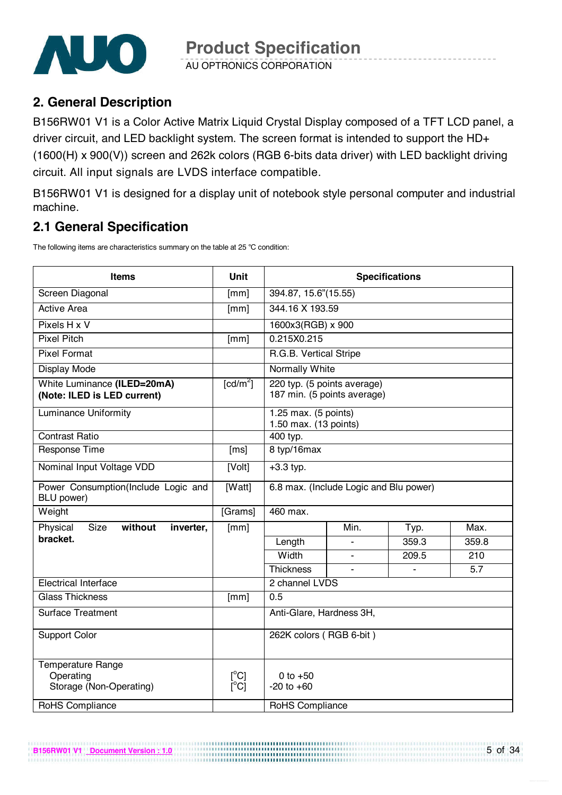

AU OPTRONICS CORPORATION

## **2. General Description**

B156RW01 V1 is a Color Active Matrix Liquid Crystal Display composed of a TFT LCD panel, a driver circuit, and LED backlight system. The screen format is intended to support the HD+ (1600(H) x 900(V)) screen and 262k colors (RGB 6-bits data driver) with LED backlight driving circuit. All input signals are LVDS interface compatible.

B156RW01 V1 is designed for a display unit of notebook style personal computer and industrial machine.

## **2.1 General Specification**

The following items are characteristics summary on the table at 25 °C condition:

| <b>Items</b>                                                     | <b>Unit</b>                             | <b>Specifications</b>                                      |      |       |       |  |  |
|------------------------------------------------------------------|-----------------------------------------|------------------------------------------------------------|------|-------|-------|--|--|
| Screen Diagonal                                                  | [mm]                                    | 394.87, 15.6"(15.55)                                       |      |       |       |  |  |
| <b>Active Area</b>                                               | [mm]                                    | 344.16 X 193.59                                            |      |       |       |  |  |
| Pixels H x V                                                     |                                         | 1600x3(RGB) x 900                                          |      |       |       |  |  |
| <b>Pixel Pitch</b>                                               | [mm]                                    | 0.215X0.215                                                |      |       |       |  |  |
| <b>Pixel Format</b>                                              |                                         | R.G.B. Vertical Stripe                                     |      |       |       |  |  |
| Display Mode                                                     |                                         | <b>Normally White</b>                                      |      |       |       |  |  |
| White Luminance (ILED=20mA)<br>(Note: ILED is LED current)       | $\lceil$ cd/m <sup>2</sup> $\rceil$     | 220 typ. (5 points average)<br>187 min. (5 points average) |      |       |       |  |  |
| <b>Luminance Uniformity</b>                                      |                                         | 1.25 max. (5 points)<br>1.50 max. (13 points)              |      |       |       |  |  |
| <b>Contrast Ratio</b>                                            |                                         | 400 typ.                                                   |      |       |       |  |  |
| Response Time                                                    | [ms]                                    | 8 typ/16max                                                |      |       |       |  |  |
| Nominal Input Voltage VDD                                        | [Volt]                                  | $+3.3$ typ.                                                |      |       |       |  |  |
| Power Consumption(Include Logic and<br>BLU power)                | [Watt]                                  | 6.8 max. (Include Logic and Blu power)                     |      |       |       |  |  |
| Weight                                                           | [Grams]                                 | 460 max.                                                   |      |       |       |  |  |
| Size<br>without<br>Physical<br>inverter,                         | [mm]                                    |                                                            | Min. | Typ.  | Max.  |  |  |
| bracket.                                                         |                                         | Length                                                     |      | 359.3 | 359.8 |  |  |
|                                                                  |                                         | Width                                                      |      | 209.5 | 210   |  |  |
|                                                                  |                                         | <b>Thickness</b>                                           |      |       | 5.7   |  |  |
| <b>Electrical Interface</b>                                      |                                         | 2 channel LVDS                                             |      |       |       |  |  |
| <b>Glass Thickness</b>                                           | [mm]                                    | 0.5                                                        |      |       |       |  |  |
| <b>Surface Treatment</b>                                         |                                         | Anti-Glare, Hardness 3H,                                   |      |       |       |  |  |
| <b>Support Color</b>                                             |                                         | 262K colors (RGB 6-bit)                                    |      |       |       |  |  |
| <b>Temperature Range</b><br>Operating<br>Storage (Non-Operating) | $[^{\circ}C]$<br>$\overline{C}^{\circ}$ | 0 to $+50$<br>$-20$ to $+60$                               |      |       |       |  |  |
| <b>RoHS Compliance</b>                                           |                                         | <b>RoHS Compliance</b>                                     |      |       |       |  |  |

..............................

**B156RW01 V1 Document Version : 1.0**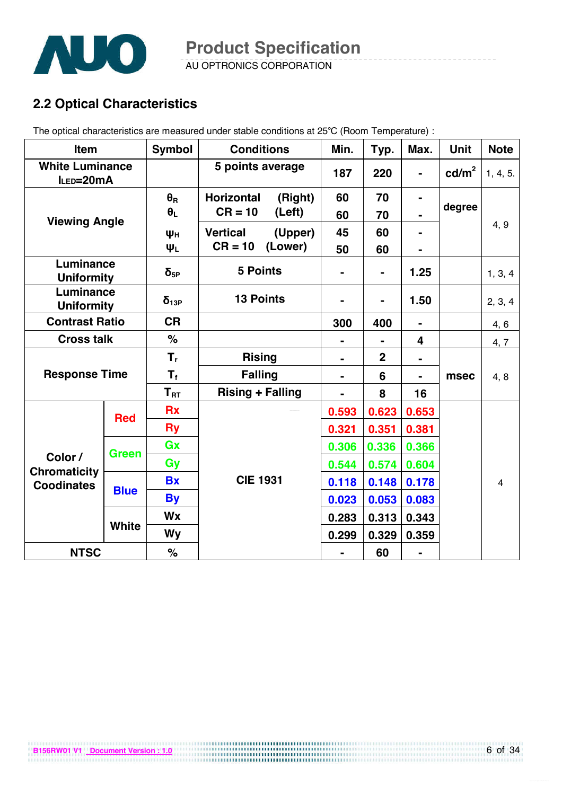

AU OPTRONICS CORPORATION

## **2.2 Optical Characteristics**

The optical characteristics are measured under stable conditions at 25°C (Room Temperature) :

| <b>Item</b>                         |              | <b>Symbol</b>           | <b>Conditions</b>       |         | Min.           | Typ.        | Max.           | <b>Unit</b>     | <b>Note</b>    |
|-------------------------------------|--------------|-------------------------|-------------------------|---------|----------------|-------------|----------------|-----------------|----------------|
| <b>White Luminance</b><br>ILED=20mA |              |                         | 5 points average        |         | 187            | 220         |                | $\text{cd/m}^2$ | 1, 4, 5.       |
|                                     |              | $\theta_{\rm R}$        | <b>Horizontal</b>       | (Right) | 60             | 70          |                |                 |                |
| <b>Viewing Angle</b>                |              | $\theta_L$              | $CR = 10$               | (Left)  | 60             | 70          |                | degree          |                |
|                                     |              | Ψн                      | <b>Vertical</b>         | (Upper) | 45             | 60          |                |                 | 4, 9           |
|                                     |              | ΨL                      | $CR = 10$               | (Lower) | 50             | 60          |                |                 |                |
| Luminance<br><b>Uniformity</b>      |              | $\delta_{5P}$           | <b>5 Points</b>         |         |                | -           | 1.25           |                 | 1, 3, 4        |
| Luminance<br><b>Uniformity</b>      |              | $\delta_{13P}$          | <b>13 Points</b>        |         |                |             | 1.50           |                 | 2, 3, 4        |
| <b>Contrast Ratio</b>               |              | <b>CR</b>               |                         |         | 300            | 400         | $\blacksquare$ |                 | 4, 6           |
| <b>Cross talk</b>                   |              | $\%$                    |                         |         | $\blacksquare$ |             | 4              |                 | 4, 7           |
|                                     |              | $T_{r}$                 | <b>Rising</b>           |         | $\blacksquare$ | $\mathbf 2$ | $\blacksquare$ |                 |                |
| <b>Response Time</b>                |              | $\mathsf{T}_\mathsf{f}$ | <b>Falling</b>          |         | $\blacksquare$ | 6           | $\blacksquare$ | msec            | 4, 8           |
|                                     |              | $T_{\rm RT}$            | <b>Rising + Falling</b> |         |                | 8           | 16             |                 |                |
|                                     | <b>Red</b>   | <b>Rx</b>               |                         |         | 0.593          | 0.623       | 0.653          |                 |                |
|                                     |              | <b>Ry</b>               |                         |         | 0.321          | 0.351       | 0.381          |                 |                |
|                                     | <b>Green</b> | Gx                      |                         |         | 0.306          | 0.336       | 0.366          |                 |                |
| Color /<br><b>Chromaticity</b>      |              | Gy                      |                         |         | 0.544          | 0.574       | 0.604          |                 |                |
| <b>Coodinates</b>                   |              | <b>Bx</b>               | <b>CIE 1931</b>         |         | 0.118          | 0.148       | 0.178          |                 | $\overline{4}$ |
|                                     | <b>Blue</b>  | <b>By</b>               |                         |         | 0.023          | 0.053       | 0.083          |                 |                |
|                                     | <b>White</b> | Wx                      |                         |         | 0.283          | 0.313       | 0.343          |                 |                |
|                                     |              | Wy                      |                         |         | 0.299          | 0.329       | 0.359          |                 |                |
| <b>NTSC</b>                         |              | $\%$                    |                         |         |                | 60          |                |                 |                |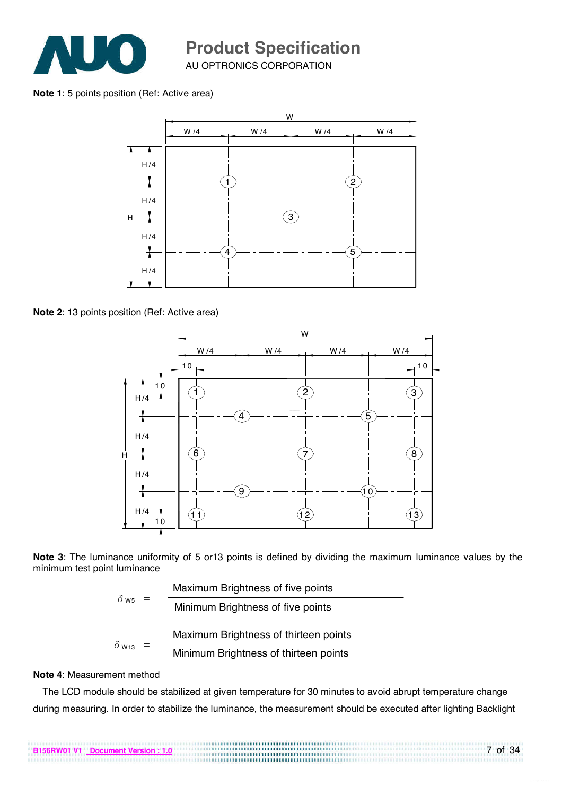

AU OPTRONICS CORPORATION

**Note 1**: 5 points position (Ref: Active area)



**Note 2**: 13 points position (Ref: Active area)





|                          |  | Maximum Brightness of five points     |
|--------------------------|--|---------------------------------------|
| $\delta$ ws              |  | Minimum Brightness of five points     |
|                          |  | Maximum Brightness of thirteen points |
| $\delta$ W <sub>13</sub> |  | Minimum Brightness of thirteen points |

#### **Note 4**: Measurement method

The LCD module should be stabilized at given temperature for 30 minutes to avoid abrupt temperature change during measuring. In order to stabilize the luminance, the measurement should be executed after lighting Backlight

7 of 34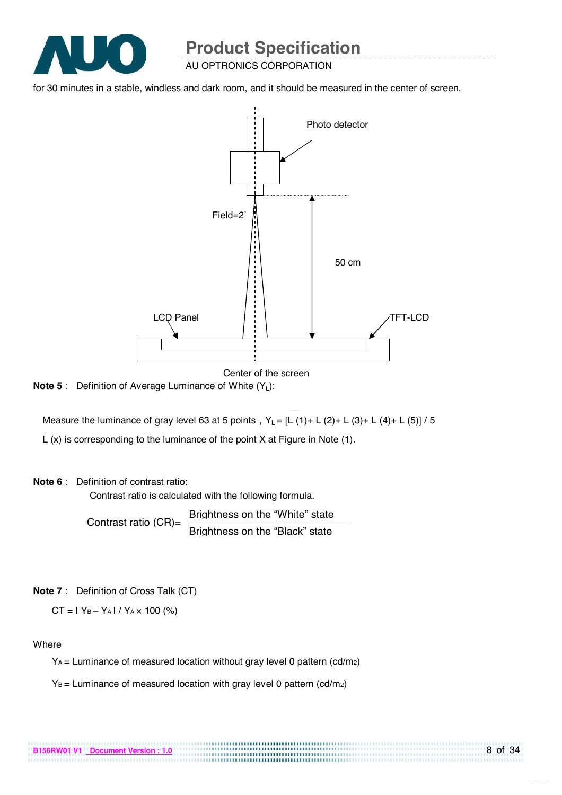

AU OPTRONICS CORPORATION

for 30 minutes in a stable, windless and dark room, and it should be measured in the center of screen.



Center of the screen

.................................

**Note 5**: Definition of Average Luminance of White (Y<sub>L</sub>):

Measure the luminance of gray level 63 at 5 points,  $Y_L = [L (1) + L (2) + L (3) + L (4) + L (5)] / 5$ 

L (x) is corresponding to the luminance of the point X at Figure in Note (1).

#### **Note 6**: Definition of contrast ratio:

Contrast ratio is calculated with the following formula.

Contrast ratio (CR)= Brightness on the "White" state Brightness on the "Black" state

#### **Note 7**: Definition of Cross Talk (CT)

 $CT = 1 Y_B - Y_A 1 / Y_A \times 100$  (%)

#### **Where**

 $Y_A$  = Luminance of measured location without gray level 0 pattern (cd/m2)

 $Y_B$  = Luminance of measured location with gray level 0 pattern (cd/m<sub>2</sub>)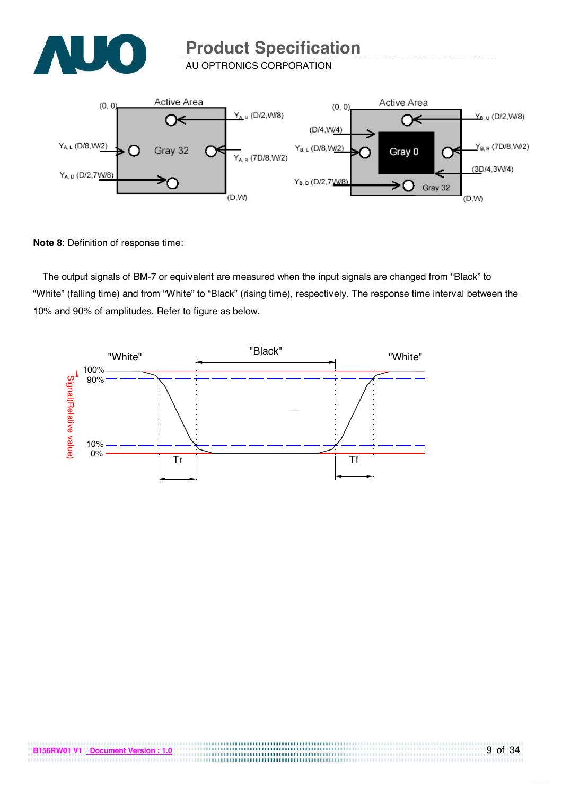

AU OPTRONICS CORPORATION



**Note 8**: Definition of response time:

The output signals of BM-7 or equivalent are measured when the input signals are changed from "Black" to "White" (falling time) and from "White" to "Black" (rising time), respectively. The response time interval between the 10% and 90% of amplitudes. Refer to figure as below.

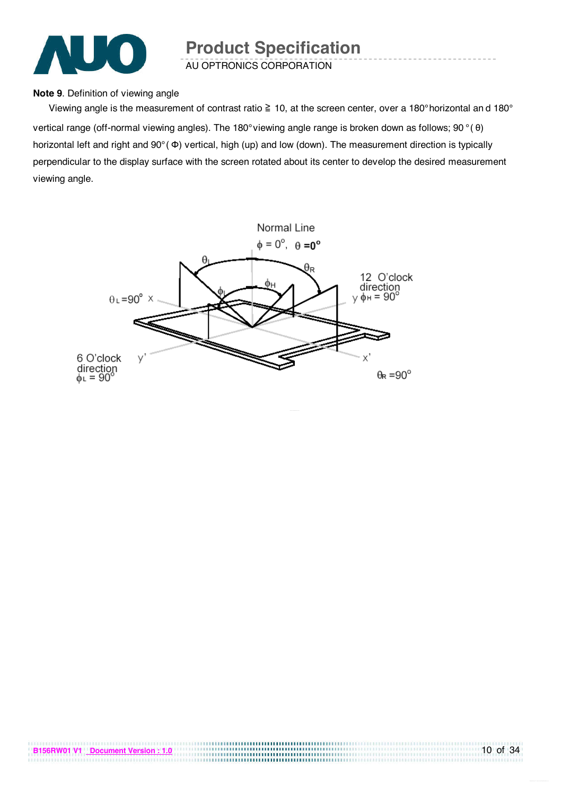

AU OPTRONICS CORPORATION

#### **Note 9**. Definition of viewing angle

Viewing angle is the measurement of contrast ratio  $\geq 10$ , at the screen center, over a 180° horizontal and 180° vertical range (off-normal viewing angles). The 180° viewing angle range is broken down as follows; 90 ° ( θ) horizontal left and right and 90° ( Φ) vertical, high (up) and low (down). The measurement direction is typically perpendicular to the display surface with the screen rotated about its center to develop the desired measurement viewing angle.



,,,,,,,,,,,,,,,,,,,,,,,,,,,,,,,,,,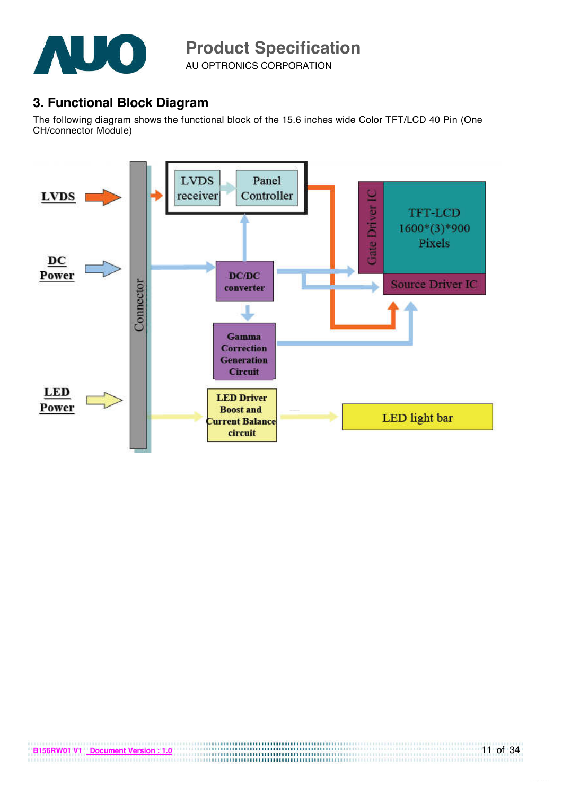

AU OPTRONICS CORPORATION

## **3. Functional Block Diagram**

The following diagram shows the functional block of the 15.6 inches wide Color TFT/LCD 40 Pin (One CH/connector Module)

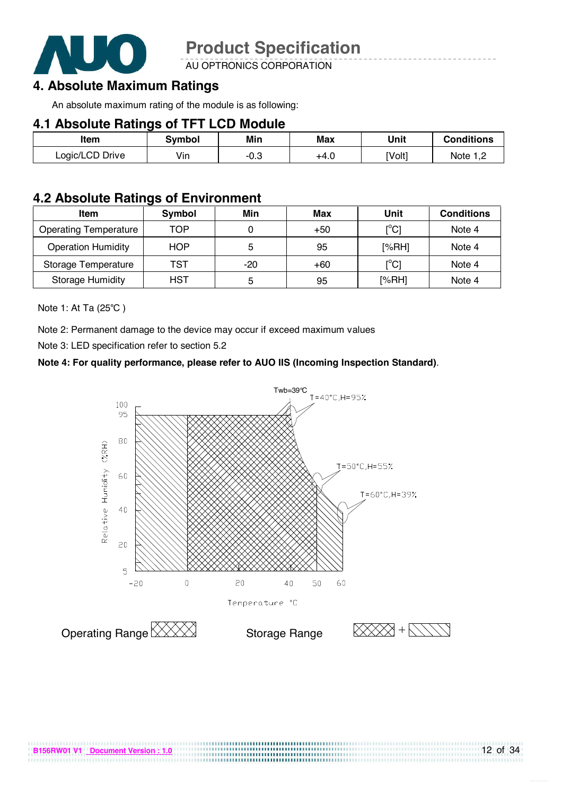

AU OPTRONICS CORPORATION

### **4. Absolute Maximum Ratings**

An absolute maximum rating of the module is as following:

### **4.1 Absolute Ratings of TFT LCD Module**

| ltem            | Svmbol | Min    | Max  | Unit   | <b>Conditions</b> |
|-----------------|--------|--------|------|--------|-------------------|
| Logic/LCD Drive | Vin    | $-0.3$ | +4.0 | [Volt] | Note 1 C          |

### **4.2 Absolute Ratings of Environment**

| <b>Item</b>                  | Symbol     | Min | Max   | Unit                                    | <b>Conditions</b> |
|------------------------------|------------|-----|-------|-----------------------------------------|-------------------|
| <b>Operating Temperature</b> | TOP        |     | $+50$ | $\mathsf{I}^\circ\mathsf{Cl}$           | Note 4            |
| <b>Operation Humidity</b>    | <b>HOP</b> | 5   | 95    | [%RH]                                   | Note 4            |
| Storage Temperature          | TST        | -20 | $+60$ | $\mathsf{I}^\circ\mathsf{C} \mathsf{I}$ | Note 4            |
| <b>Storage Humidity</b>      | HST        | 5   | 95    | [%RH]                                   | Note 4            |

Note 1: At Ta (25°C)

Note 2: Permanent damage to the device may occur if exceed maximum values

Note 3: LED specification refer to section 5.2

#### **Note 4: For quality performance, please refer to AUO IIS (Incoming Inspection Standard)**.



.............................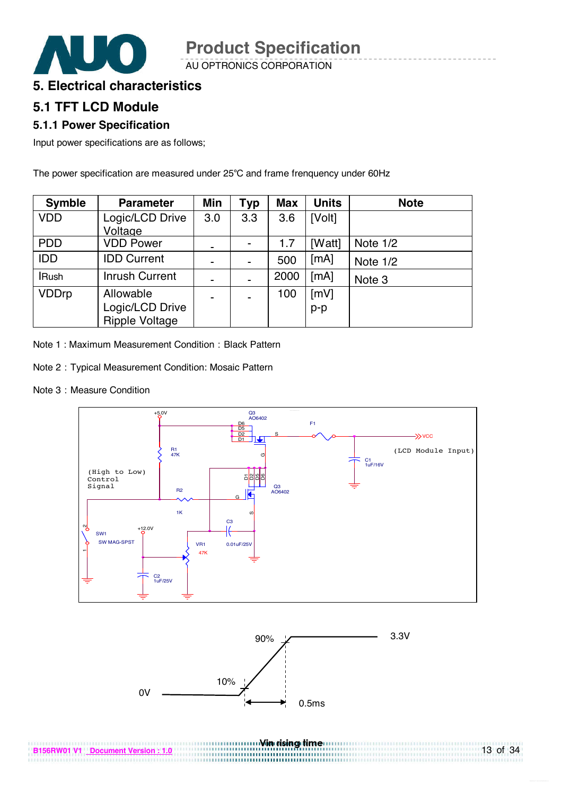

AU OPTRONICS CORPORATION

### **5. Electrical characteristics**

### **5.1 TFT LCD Module**

### **5.1.1 Power Specification**

Input power specifications are as follows;

The power specification are measured under 25°C and frame frenquency under 60Hz

| <b>Symble</b> | <b>Parameter</b>      | Min                      | Typ | <b>Max</b> | <b>Units</b> | <b>Note</b> |
|---------------|-----------------------|--------------------------|-----|------------|--------------|-------------|
| <b>VDD</b>    | Logic/LCD Drive       | 3.0                      | 3.3 | 3.6        | [Volt]       |             |
|               | Voltage               |                          |     |            |              |             |
| <b>PDD</b>    | <b>VDD Power</b>      | ۰                        |     | 1.7        | [Watt]       | Note 1/2    |
| <b>IDD</b>    | <b>IDD Current</b>    | $\overline{\phantom{a}}$ |     | 500        | [mA]         | Note 1/2    |
| <b>IRush</b>  | <b>Inrush Current</b> |                          |     | 2000       | [mA]         | Note 3      |
| <b>VDDrp</b>  | Allowable             | ۰                        |     | 100        | [mV]         |             |
|               | Logic/LCD Drive       |                          |     |            | $p-p$        |             |
|               | <b>Ripple Voltage</b> |                          |     |            |              |             |

Note 1: Maximum Measurement Condition: Black Pattern

- Note 2:Typical Measurement Condition: Mosaic Pattern
- Note 3: Measure Condition



<u>win manual win rising time a</u>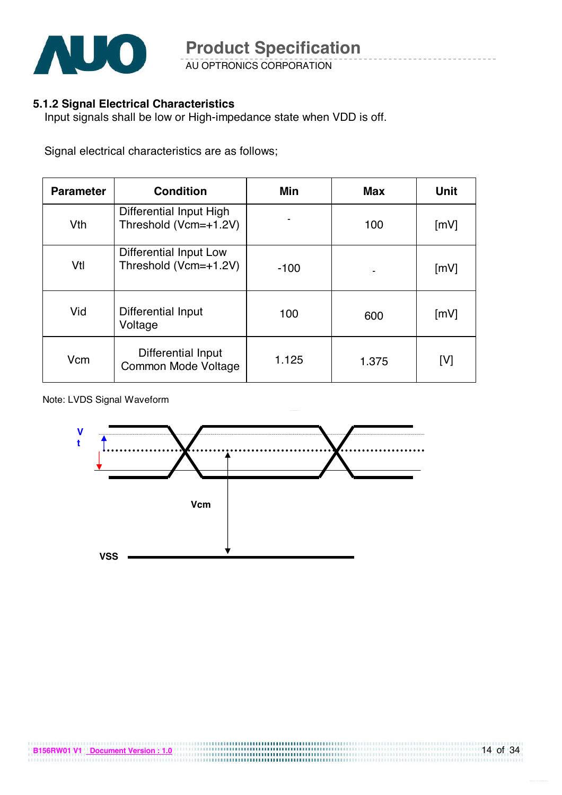

AU OPTRONICS CORPORATION

### **5.1.2 Signal Electrical Characteristics**

Input signals shall be low or High-impedance state when VDD is off.

Signal electrical characteristics are as follows;

| <b>Parameter</b> | <b>Condition</b>                                       | Min    |       | <b>Unit</b>        |
|------------------|--------------------------------------------------------|--------|-------|--------------------|
| Vth              | Differential Input High<br>Threshold (Vcm=+1.2V)       |        | 100   | $\lceil mV \rceil$ |
| Vtl              | <b>Differential Input Low</b><br>Threshold (Vcm=+1.2V) | $-100$ |       | [mV]               |
| Vid              | Differential Input<br>Voltage                          | 100    | 600   | $\lceil mV \rceil$ |
| Vcm              | Differential Input<br>Common Mode Voltage              | 1.125  | 1.375 | [V]                |

Note: LVDS Signal Waveform



,,,,,,,,,,,,,,,,,,,,,,,,,,,,,,,,,,,,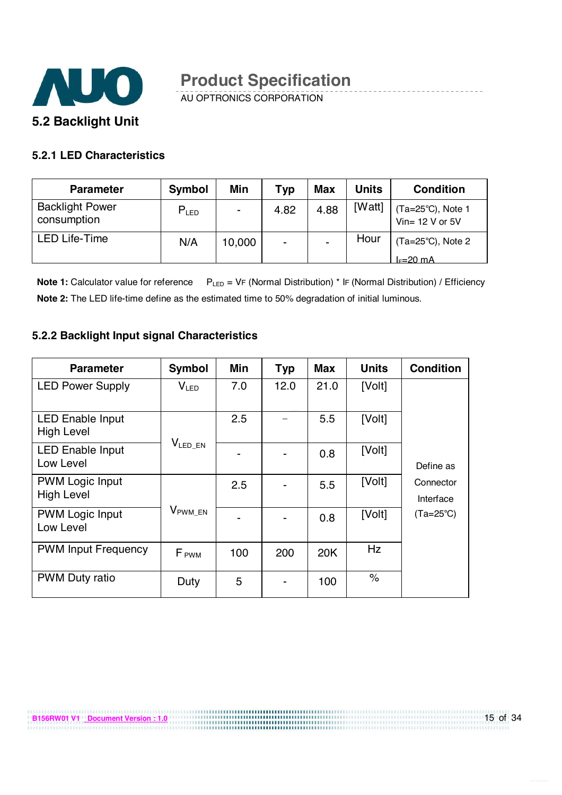

AU OPTRONICS CORPORATION

### **5.2.1 LED Characteristics**

| <b>Parameter</b>                      | <b>Symbol</b> | Min    | Typ            | <b>Max</b>     | <b>Units</b> | <b>Condition</b>                                   |
|---------------------------------------|---------------|--------|----------------|----------------|--------------|----------------------------------------------------|
| <b>Backlight Power</b><br>consumption | $P_{LED}$     |        | 4.82           | 4.88           | [Watt]       | (Ta=25°C), Note 1<br>Vin= 12 V or 5V               |
| <b>LED Life-Time</b>                  | N/A           | 10,000 | $\blacksquare$ | $\blacksquare$ | Hour         | $(Ta=25^{\circ}C)$ , Note 2<br>$I_c=20 \text{ mA}$ |

**Note 1:** Calculator value for reference  $P_{LED} = VF$  (Normal Distribution) \* IF (Normal Distribution) / Efficiency **Note 2:** The LED life-time define as the estimated time to 50% degradation of initial luminous.

### **5.2.2 Backlight Input signal Characteristics**

| <b>Parameter</b>                             | <b>Symbol</b>           | Min | <b>Typ</b> | <b>Max</b> | <b>Units</b>  | <b>Condition</b>       |
|----------------------------------------------|-------------------------|-----|------------|------------|---------------|------------------------|
| <b>LED Power Supply</b>                      | V <sub>LED</sub>        | 7.0 | 12.0       | 21.0       | [Volt]        |                        |
| <b>LED Enable Input</b><br><b>High Level</b> |                         | 2.5 |            | 5.5        | [Volt]        |                        |
| <b>LED Enable Input</b><br>Low Level         | $V_{LED\_EN}$           |     |            | 0.8        | [Volt]        | Define as              |
| <b>PWM Logic Input</b><br><b>High Level</b>  |                         | 2.5 |            | 5.5        | [Volt]        | Connector<br>Interface |
| <b>PWM Logic Input</b><br>Low Level          | $V_{\rm PWM\_EN}$       |     |            | 0.8        | [Volt]        | (Ta=25°C)              |
| <b>PWM Input Frequency</b>                   | <b>F</b> <sub>PWM</sub> | 100 | 200        | 20K        | Hz            |                        |
| <b>PWM Duty ratio</b>                        | Duty                    | 5   |            | 100        | $\frac{1}{2}$ |                        |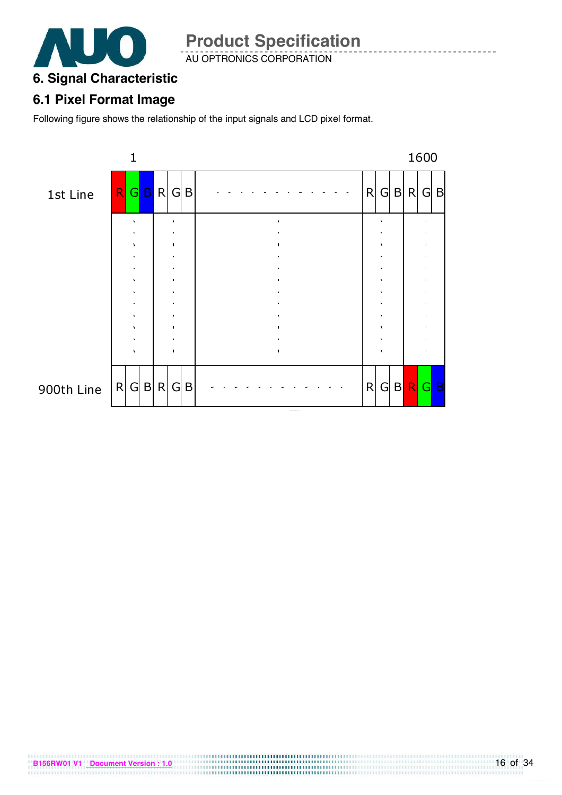

AU OPTRONICS CORPORATION

## **6. Signal Characteristic**

### **6.1 Pixel Format Image**

Following figure shows the relationship of the input signals and LCD pixel format.

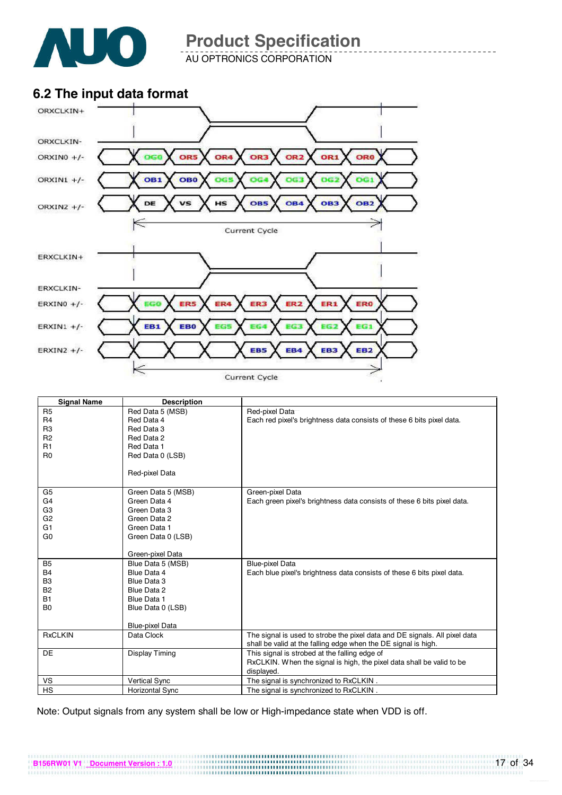

AU OPTRONICS CORPORATION

### **6.2 The input data format**



| <b>Signal Name</b> | <b>Description</b>     |                                                                            |
|--------------------|------------------------|----------------------------------------------------------------------------|
| R <sub>5</sub>     | Red Data 5 (MSB)       | Red-pixel Data                                                             |
| R <sub>4</sub>     | Red Data 4             | Each red pixel's brightness data consists of these 6 bits pixel data.      |
| R <sub>3</sub>     | Red Data 3             |                                                                            |
| R <sub>2</sub>     | Red Data 2             |                                                                            |
| R1                 | Red Data 1             |                                                                            |
| R <sub>0</sub>     | Red Data 0 (LSB)       |                                                                            |
|                    |                        |                                                                            |
|                    | Red-pixel Data         |                                                                            |
|                    |                        |                                                                            |
| G5                 | Green Data 5 (MSB)     | Green-pixel Data                                                           |
| G <sub>4</sub>     | Green Data 4           | Each green pixel's brightness data consists of these 6 bits pixel data.    |
| G <sub>3</sub>     | Green Data 3           |                                                                            |
| G <sub>2</sub>     | Green Data 2           |                                                                            |
| G <sub>1</sub>     | Green Data 1           |                                                                            |
| G <sub>0</sub>     | Green Data 0 (LSB)     |                                                                            |
|                    |                        |                                                                            |
|                    | Green-pixel Data       |                                                                            |
| <b>B5</b>          | Blue Data 5 (MSB)      | <b>Blue-pixel Data</b>                                                     |
| <b>B4</b>          | Blue Data 4            | Each blue pixel's brightness data consists of these 6 bits pixel data.     |
| B <sub>3</sub>     | Blue Data 3            |                                                                            |
| <b>B2</b>          | Blue Data 2            |                                                                            |
| <b>B1</b>          | Blue Data 1            |                                                                            |
| B <sub>0</sub>     | Blue Data 0 (LSB)      |                                                                            |
|                    |                        |                                                                            |
|                    | <b>Blue-pixel Data</b> |                                                                            |
| <b>RxCLKIN</b>     | Data Clock             | The signal is used to strobe the pixel data and DE signals. All pixel data |
|                    |                        | shall be valid at the falling edge when the DE signal is high.             |
| <b>DE</b>          | <b>Display Timing</b>  | This signal is strobed at the falling edge of                              |
|                    |                        | RxCLKIN. When the signal is high, the pixel data shall be valid to be      |
|                    |                        | displayed.                                                                 |
| VS                 | <b>Vertical Sync</b>   | The signal is synchronized to RxCLKIN.                                     |
| <b>HS</b>          | Horizontal Sync        | The signal is synchronized to RxCLKIN.                                     |

Note: Output signals from any system shall be low or High-impedance state when VDD is off.

**B156RW01 V1** <u>Document Version : 1.0</u> 17 of 34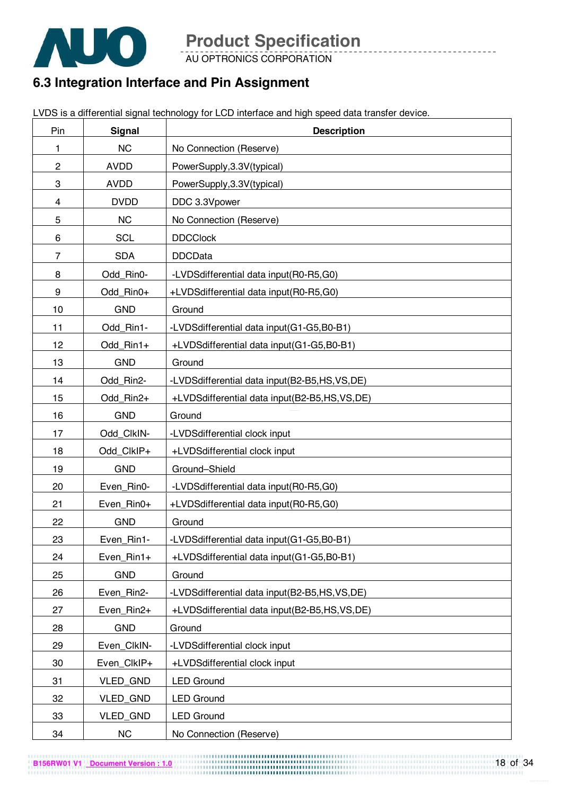

AU OPTRONICS CORPORATION

## **6.3 Integration Interface and Pin Assignment**

LVDS is a differential signal technology for LCD interface and high speed data transfer device.

| Pin            | <b>Signal</b> | <b>Description</b>                           |  |
|----------------|---------------|----------------------------------------------|--|
| 1              | <b>NC</b>     | No Connection (Reserve)                      |  |
| $\overline{c}$ | <b>AVDD</b>   | PowerSupply, 3.3V(typical)                   |  |
| 3              | <b>AVDD</b>   | PowerSupply, 3.3V(typical)                   |  |
| 4              | <b>DVDD</b>   | DDC 3.3Vpower                                |  |
| 5              | <b>NC</b>     | No Connection (Reserve)                      |  |
| 6              | <b>SCL</b>    | <b>DDCClock</b>                              |  |
| $\overline{7}$ | <b>SDA</b>    | <b>DDCData</b>                               |  |
| 8              | Odd_Rin0-     | -LVDSdifferential data input(R0-R5,G0)       |  |
| 9              | Odd_Rin0+     | +LVDSdifferential data input(R0-R5,G0)       |  |
| 10             | <b>GND</b>    | Ground                                       |  |
| 11             | Odd_Rin1-     | -LVDSdifferential data input(G1-G5,B0-B1)    |  |
| 12             | Odd_Rin1+     | +LVDSdifferential data input(G1-G5,B0-B1)    |  |
| 13             | <b>GND</b>    | Ground                                       |  |
| 14             | Odd_Rin2-     | -LVDSdifferential data input(B2-B5,HS,VS,DE) |  |
| 15             | Odd_Rin2+     | +LVDSdifferential data input(B2-B5,HS,VS,DE) |  |
| 16             | <b>GND</b>    | Ground                                       |  |
| 17             | Odd_ClkIN-    | -LVDSdifferential clock input                |  |
| 18             | Odd_ClkIP+    | +LVDSdifferential clock input                |  |
| 19             | <b>GND</b>    | Ground-Shield                                |  |
| 20             | Even Rin0-    | -LVDSdifferential data input(R0-R5,G0)       |  |
| 21             | Even_Rin0+    | +LVDSdifferential data input(R0-R5,G0)       |  |
| 22             | <b>GND</b>    | Ground                                       |  |
| 23             | Even Rin1-    | -LVDSdifferential data input(G1-G5,B0-B1)    |  |
| 24             | Even_Rin1+    | +LVDSdifferential data input(G1-G5,B0-B1)    |  |
| 25             | <b>GND</b>    | Ground                                       |  |
| 26             | Even_Rin2-    | -LVDSdifferential data input(B2-B5,HS,VS,DE) |  |
| 27             | Even_Rin2+    | +LVDSdifferential data input(B2-B5,HS,VS,DE) |  |
| 28             | <b>GND</b>    | Ground                                       |  |
| 29             | Even_ClkIN-   | -LVDSdifferential clock input                |  |
| 30             | Even ClkIP+   | +LVDSdifferential clock input                |  |
| 31             | VLED_GND      | <b>LED Ground</b>                            |  |
| 32             | VLED_GND      | <b>LED Ground</b>                            |  |
| 33             | VLED_GND      | <b>LED Ground</b>                            |  |
| 34             | <b>NC</b>     | No Connection (Reserve)                      |  |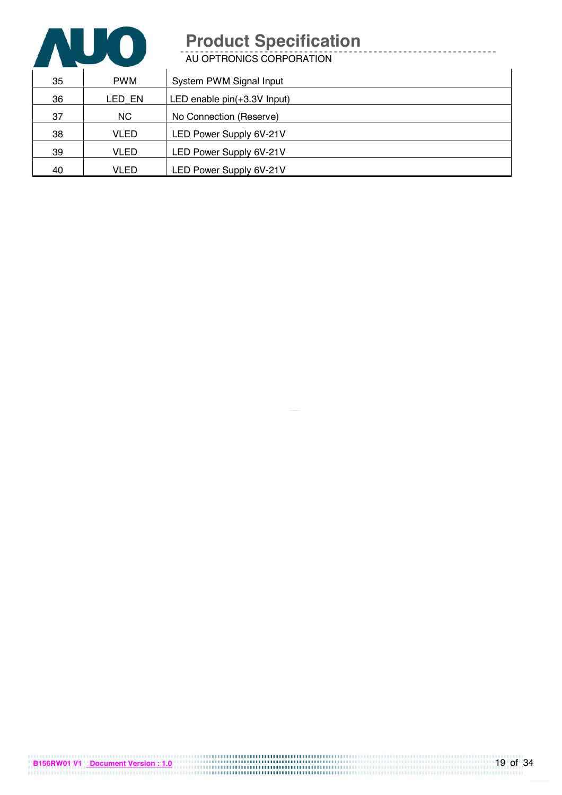

AU OPTRONICS CORPORATION

| 35 | <b>PWM</b> | System PWM Signal Input     |
|----|------------|-----------------------------|
| 36 | LED EN     | LED enable pin(+3.3V Input) |
| 37 | NC.        | No Connection (Reserve)     |
| 38 | VLED       | LED Power Supply 6V-21V     |
| 39 | VLED       | LED Power Supply 6V-21V     |
| 40 | VLED       | LED Power Supply 6V-21V     |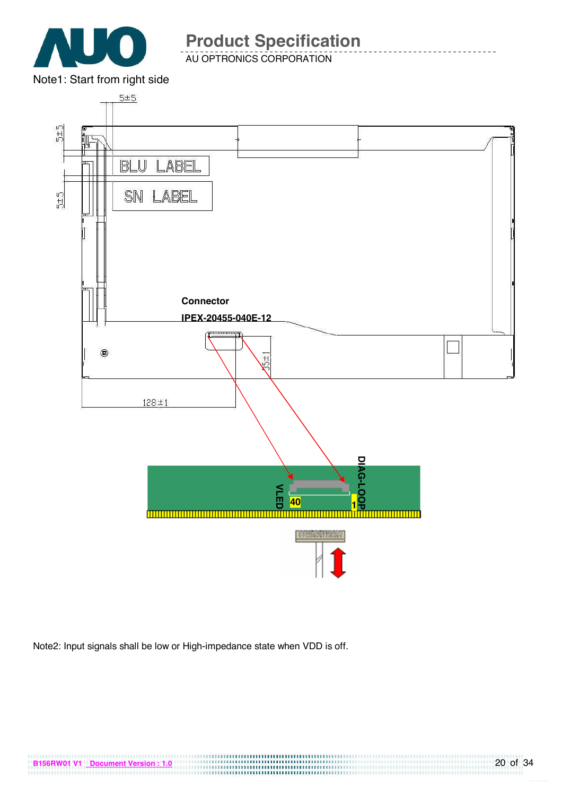

AU OPTRONICS CORPORATION



Note2: Input signals shall be low or High-impedance state when VDD is off.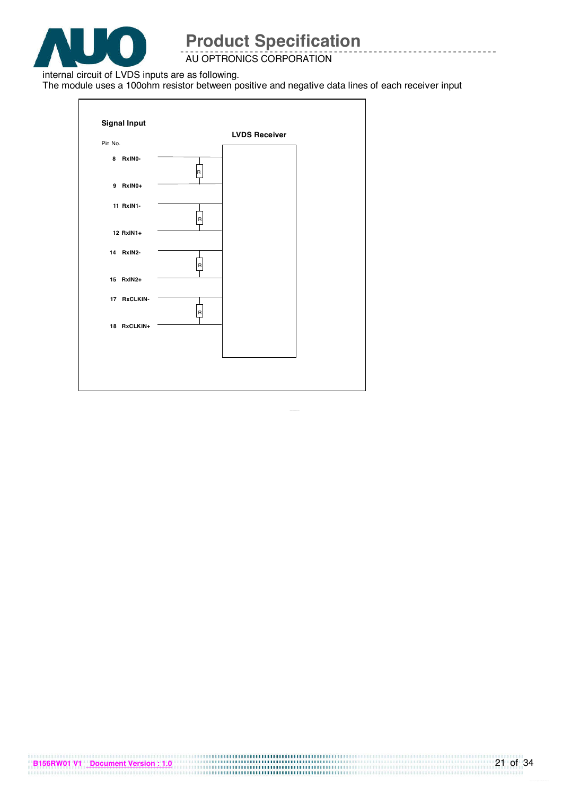

### AU OPTRONICS CORPORATION

internal circuit of LVDS inputs are as following.

The module uses a 100ohm resistor between positive and negative data lines of each receiver input

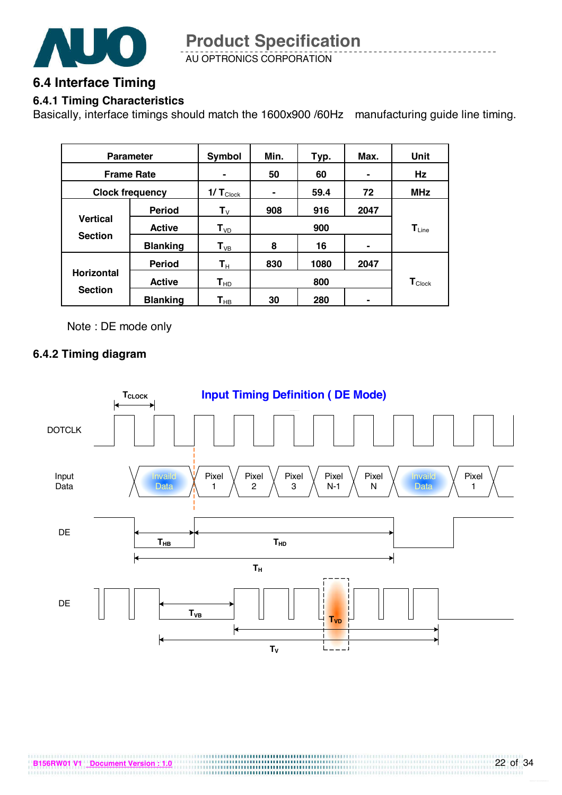

AU OPTRONICS CORPORATION **Product Specification** 

### **6.4 Interface Timing**

### **6.4.1 Timing Characteristics**

Basically, interface timings should match the 1600x900 /60Hz manufacturing guide line timing.

|                   | <b>Parameter</b>       | Symbol<br>Min.<br>Max.<br>Typ. |                            |            |                             | Unit |  |
|-------------------|------------------------|--------------------------------|----------------------------|------------|-----------------------------|------|--|
|                   | <b>Frame Rate</b>      | $\blacksquare$                 | 60<br>50<br>$\blacksquare$ |            |                             |      |  |
|                   | <b>Clock frequency</b> | $1/T_{\text{Clock}}$           | 59.4<br>72                 |            |                             |      |  |
|                   | <b>Period</b>          | ${\bf T}_{\rm V}$              | 908                        | 916        | 2047                        |      |  |
| <b>Vertical</b>   | <b>Active</b>          | T <sub>VD</sub>                |                            | $T_{Line}$ |                             |      |  |
| <b>Section</b>    | <b>Blanking</b>        | $T_{VB}$                       | 8                          | 16         | $\blacksquare$              |      |  |
|                   | <b>Period</b>          | $\mathsf{T}_\mathsf{H}$        | 830                        | 1080       | 2047                        |      |  |
| <b>Horizontal</b> | <b>Active</b>          | $T_{HD}$                       |                            | 800        | $\mathbf{T}_{\text{Clock}}$ |      |  |
| <b>Section</b>    | <b>Blanking</b>        | $\mathsf{T}_{\mathsf{HB}}$     | 30                         | 280        |                             |      |  |

Note : DE mode only

### **6.4.2 Timing diagram**

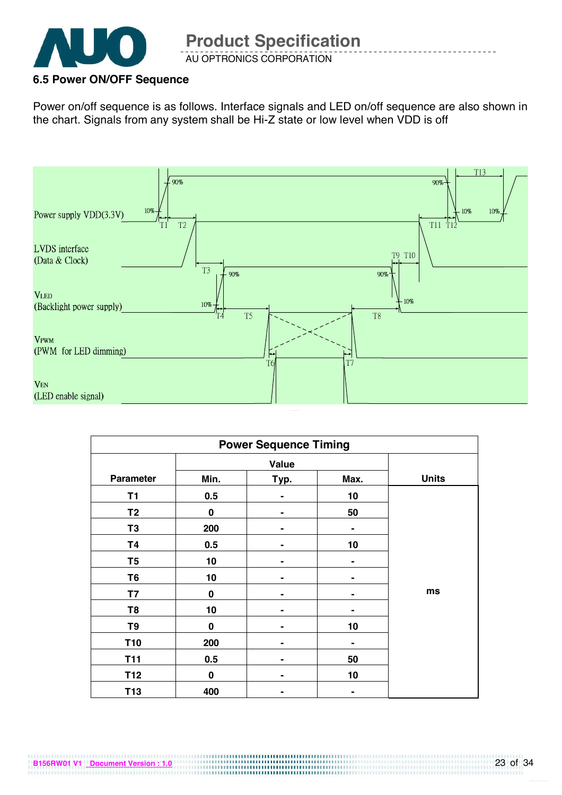

### **6.5 Power ON/OFF Sequence**

Power on/off sequence is as follows. Interface signals and LED on/off sequence are also shown in the chart. Signals from any system shall be Hi-Z state or low level when VDD is off



| <b>Power Sequence Timing</b> |              |              |                |    |  |  |  |
|------------------------------|--------------|--------------|----------------|----|--|--|--|
|                              | <b>Value</b> |              |                |    |  |  |  |
| <b>Parameter</b>             | Min.         | <b>Units</b> |                |    |  |  |  |
| T1                           | 0.5          |              | 10             |    |  |  |  |
| T <sub>2</sub>               | $\bf{0}$     | -            | 50             |    |  |  |  |
| T <sub>3</sub>               | 200          |              | $\blacksquare$ |    |  |  |  |
| <b>T4</b>                    | 0.5          |              | 10             |    |  |  |  |
| T <sub>5</sub>               | 10           |              |                |    |  |  |  |
| T <sub>6</sub>               | 10           |              |                |    |  |  |  |
| <b>T7</b>                    | $\bf{0}$     |              |                | ms |  |  |  |
| T <sub>8</sub>               | 10           |              |                |    |  |  |  |
| T9                           | 0            | -            | 10             |    |  |  |  |
| <b>T10</b><br>200            |              |              |                |    |  |  |  |
| <b>T11</b>                   | 0.5          | 50           |                |    |  |  |  |
| T12                          | $\bf{0}$     |              |                |    |  |  |  |
| T <sub>13</sub>              | 400          |              |                |    |  |  |  |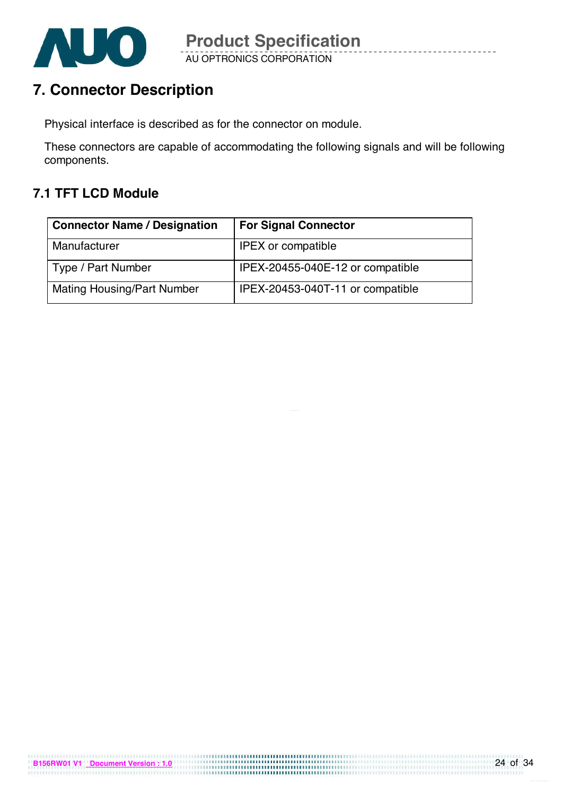

AU OPTRONICS CORPORATION

## **7. Connector Description**

Physical interface is described as for the connector on module.

These connectors are capable of accommodating the following signals and will be following components.

## **7.1 TFT LCD Module**

| <b>Connector Name / Designation</b> | <b>For Signal Connector</b>      |
|-------------------------------------|----------------------------------|
| Manufacturer                        | <b>IPEX</b> or compatible        |
| Type / Part Number                  | IPEX-20455-040E-12 or compatible |
| <b>Mating Housing/Part Number</b>   | IPEX-20453-040T-11 or compatible |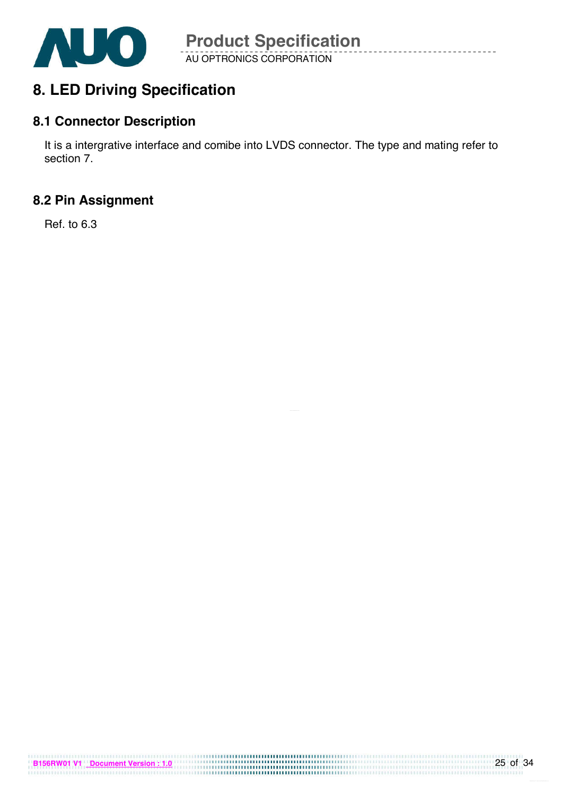

## **8. LED Driving Specification**

### **8.1 Connector Description**

It is a intergrative interface and comibe into LVDS connector. The type and mating refer to section 7.

## **8.2 Pin Assignment**

Ref. to 6.3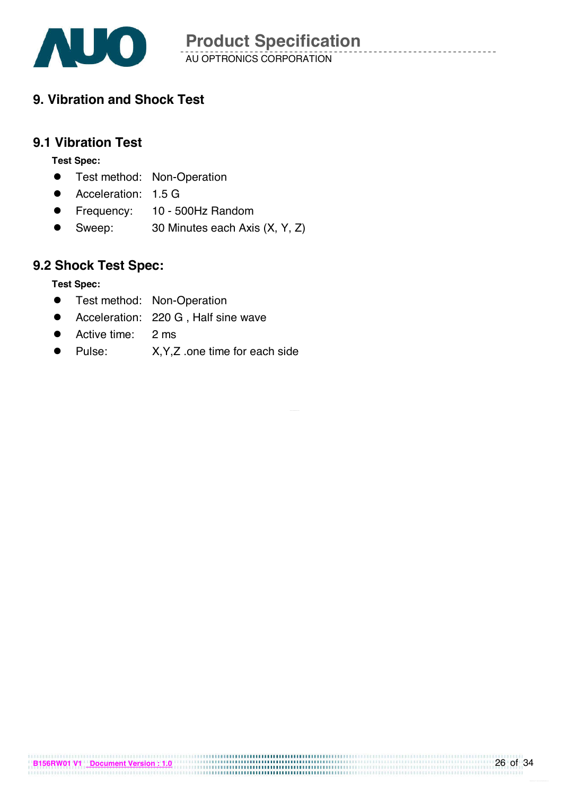

## **9. Vibration and Shock Test**

### **9.1 Vibration Test**

**Test Spec:** 

- **•** Test method: Non-Operation
- **•** Acceleration: 1.5 G
- Frequency: 10 500Hz Random
- Sweep: 30 Minutes each Axis (X, Y, Z)

## **9.2 Shock Test Spec:**

**Test Spec:** 

- **•** Test method: Non-Operation
- ! Acceleration: 220 G , Half sine wave
- Active time: 2 ms
- Pulse: X, Y, Z .one time for each side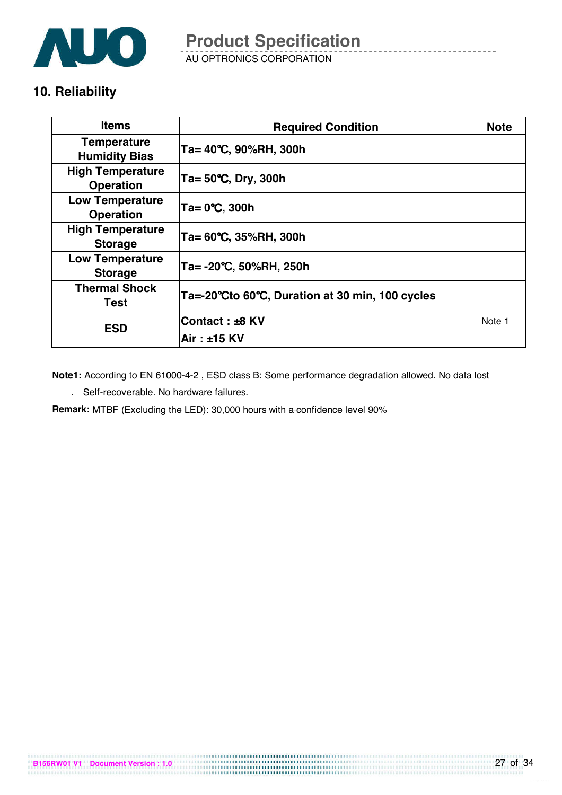

AU OPTRONICS CORPORATION **Product Specification** 

### **10. Reliability**

| <b>Items</b>                                | <b>Required Condition</b>                       | <b>Note</b> |
|---------------------------------------------|-------------------------------------------------|-------------|
| <b>Temperature</b><br><b>Humidity Bias</b>  | Ta= 40°C, 90%RH, 300h                           |             |
| <b>High Temperature</b><br><b>Operation</b> | Ta= 50°C, Dry, 300h                             |             |
| <b>Low Temperature</b><br><b>Operation</b>  | Ta= 0°C, 300h                                   |             |
| <b>High Temperature</b><br><b>Storage</b>   | Ta= 60°C, 35%RH, 300h                           |             |
| <b>Low Temperature</b><br><b>Storage</b>    | Ta= -20°C, 50%RH, 250h                          |             |
| <b>Thermal Shock</b><br>Test                | Ta=-20°Cto 60°C, Duration at 30 min, 100 cycles |             |
| <b>ESD</b>                                  | Contact : ±8 KV                                 | Note 1      |
|                                             | lAir : ±15 KV                                   |             |

**Note1:** According to EN 61000-4-2 , ESD class B: Some performance degradation allowed. No data lost

. Self-recoverable. No hardware failures.

**Remark:** MTBF (Excluding the LED): 30,000 hours with a confidence level 90%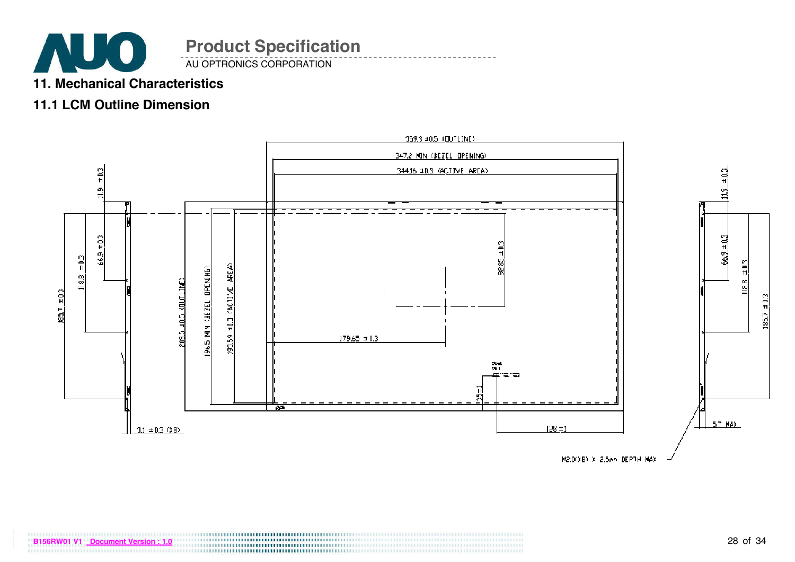

AU OPTRONICS CORPORATION

### **11. Mechanical Characteristics**

### **11.1 LCM Outline Dimension**

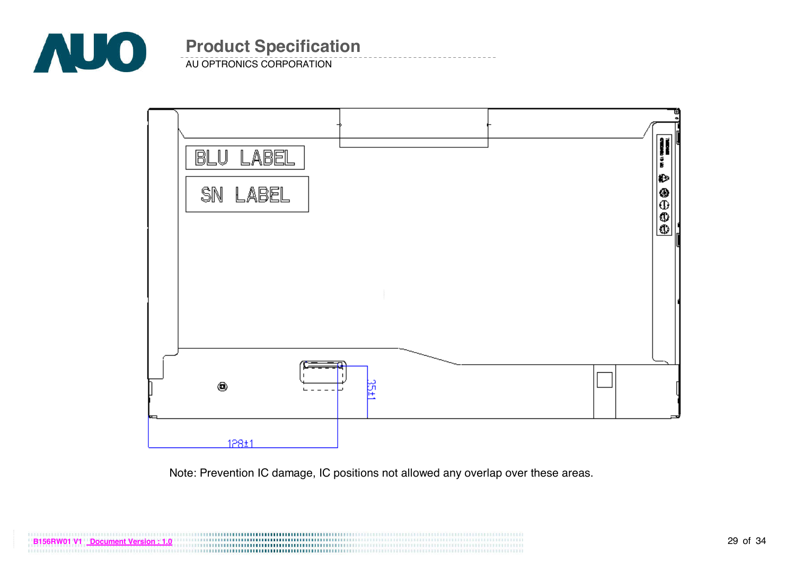

AU OPTRONICS CORPORATION



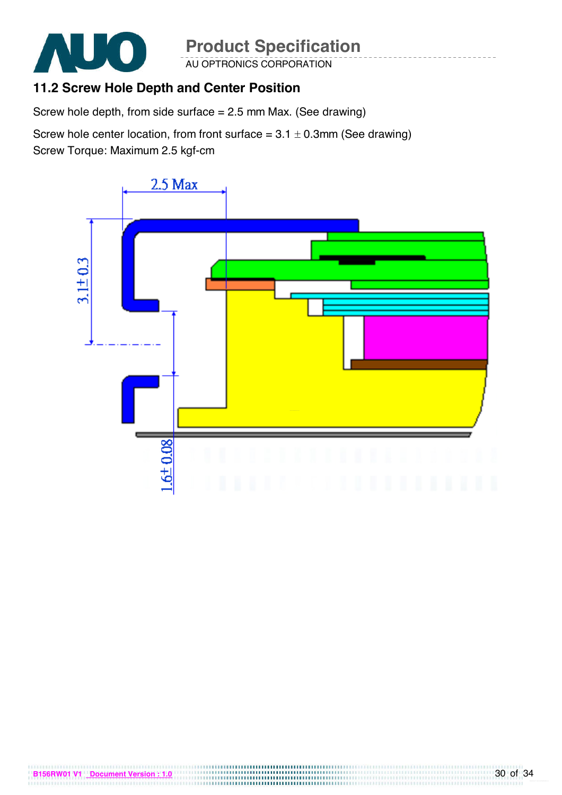

AU OPTRONICS CORPORATION

## **11.2 Screw Hole Depth and Center Position**

Screw hole depth, from side surface = 2.5 mm Max. (See drawing)

Screw hole center location, from front surface =  $3.1 \pm 0.3$ mm (See drawing) Screw Torque: Maximum 2.5 kgf-cm

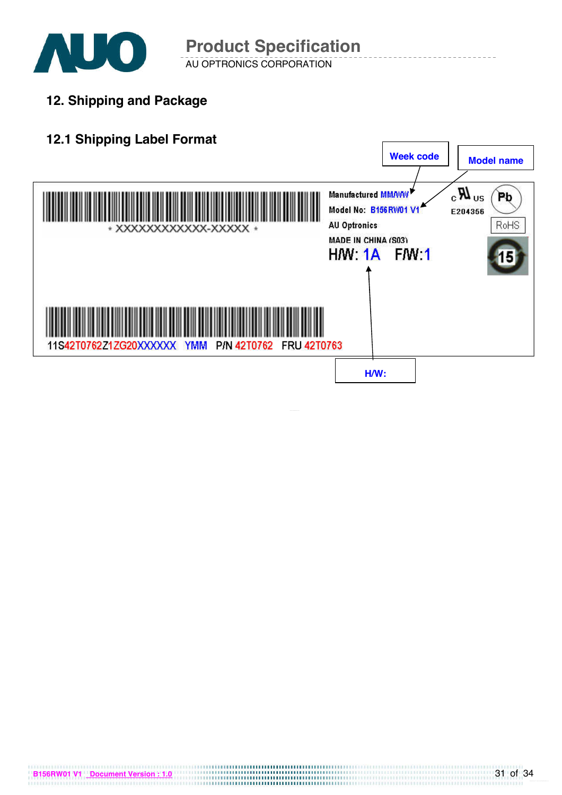

**12. Shipping and Package**

## **12.1 Shipping Label Format**

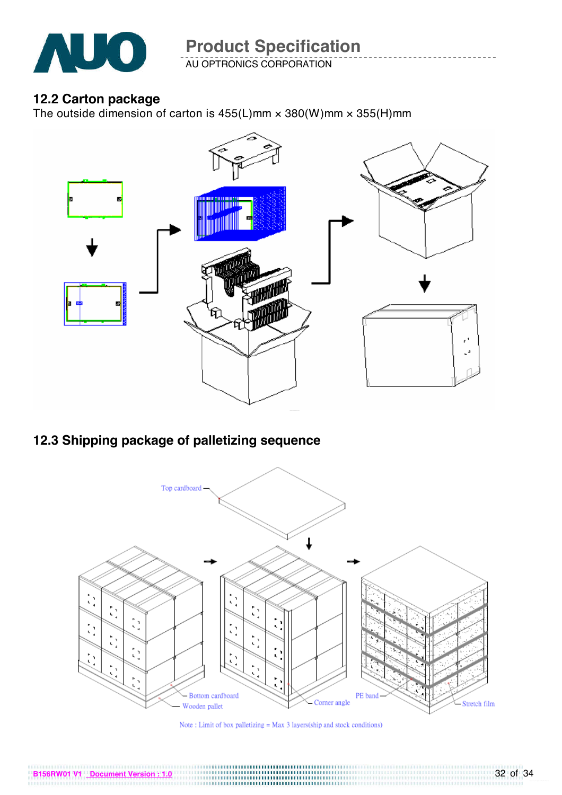

AU OPTRONICS CORPORATION

### **12.2 Carton package**

The outside dimension of carton is  $455(L)$ mm  $\times$   $380(W)$ mm  $\times$   $355(H)$ mm



## **12.3 Shipping package of palletizing sequence**



Note : Limit of box palletizing = Max 3 layers<br>(ship and stock conditions)  $\,$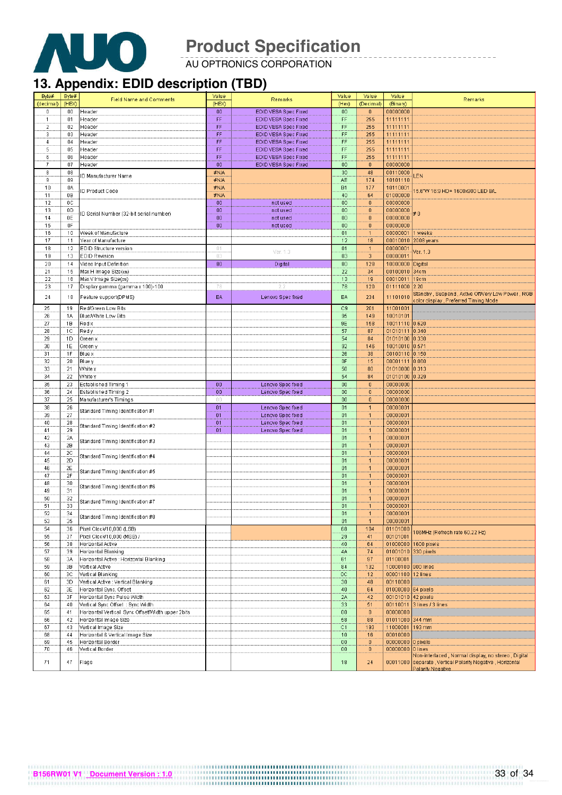

AU OPTRONICS CORPORATION

## **13. Appendix: EDID description (TBD)**

| Byte#          | Byte#          | <b>Field Name and Comments</b>                    | Value             | Remarks              | Value     | Value            | Value          | Remarks                                                                                                                       |
|----------------|----------------|---------------------------------------------------|-------------------|----------------------|-----------|------------------|----------------|-------------------------------------------------------------------------------------------------------------------------------|
| (decimal)      | (HEX)          |                                                   | (HEX)             |                      | (Hex)     | (Decimal)        | (Binary)       |                                                                                                                               |
| 0              | 00             | Header                                            | $00\,$            | EDID VESA Spec Fixed | 00        | $\overline{0}$   | 00000000       |                                                                                                                               |
| $\mathbf{1}$   | 01             | Header                                            | FF                | EDID VESA Spec Fixed | FF        | 255              | 11111111       |                                                                                                                               |
| $\overline{2}$ | 02             | Header                                            | FF                | EDID VESA Spec Fixed | FF        | 255              | 11111111       |                                                                                                                               |
| 3              | 03             | Header                                            | FF                | EDID VESA Spec Fixed | FF        | 255              | 11111111       |                                                                                                                               |
| 4              | 04             | Header                                            | FF                | EDID VESA Spec Fixed | FF        | 255              | 11111111       |                                                                                                                               |
| 5              | 05             | Header                                            | FF                | EDID VESA Spec Fixed | FF        | 255              | 11111111       |                                                                                                                               |
| 6              | 06             | Header                                            | FF                | EDID VESA Spec Fixed | FF        | 255              | 11111111       |                                                                                                                               |
| $\overline{t}$ | 07             | Header                                            | $\boldsymbol{00}$ | EDID VESA Spec Fixed | 00        | $\theta$         | 00000000       |                                                                                                                               |
|                |                |                                                   |                   |                      |           |                  |                |                                                                                                                               |
| 8              | 08             | ID Manufacturer Name                              | #N/A              |                      | 30        | 48               | 00110000       | LEN                                                                                                                           |
| 9              | 09             |                                                   | #N/A              |                      | <b>AE</b> | 174              | 10101110       |                                                                                                                               |
| 10             | 0A             | ID Product Code                                   | #N/A              |                      | B1        | 177              | 10110001       | 15.6"W 16:9 HD+ 1600x900 LED B/L                                                                                              |
| 11             | 0B             |                                                   | #N/A              |                      | 40        | 64               | 01000000       |                                                                                                                               |
| 12             | 0 <sup>C</sup> |                                                   | $00\,$            | not used             | 00        | $\bf{0}$         | 00000000       |                                                                                                                               |
| 13             | 0D             | ID Serial Number (32-bit serial number)           | $00\,$            | not used             | 00        | $\mathbf{0}$     | 00000000       | #0                                                                                                                            |
| 14             | 0E             |                                                   | $00\,$            | not used             | 00        | $\boldsymbol{0}$ | 00000000       |                                                                                                                               |
| 15             | 0F             |                                                   | 00                | not used             | 00        | $\bf{0}$         | 00000000       |                                                                                                                               |
| 16             | 10             | Week of Manufacture                               |                   |                      | 01        | $\mathbf{1}$     | 00000001       | I weeks                                                                                                                       |
| 17             | 11             | Year of Manufacture                               |                   |                      | 12        | 18               | 00010010       | 2008 years                                                                                                                    |
| 18             | 12             | EDID Structure version                            | 01                |                      | 01        | $\overline{1}$   | 00000001       |                                                                                                                               |
| 19             | 13             | <b>EDID Revision</b>                              | 03                | Ver. 1.3             | 03        | 3                | 00000011       | Ver. 1.3                                                                                                                      |
| 20             | 14             | Video Input Definition                            | 80                | Digital              | 80        | 128              | 10000000       | Digital                                                                                                                       |
| 21             | 15             | Max H Image Size(cm)                              |                   |                      | 22        | 34               | 00100010       | 34cm                                                                                                                          |
| 22             | 16             | Max V Image Size(cm)                              |                   |                      | 13        | 19               | 00010011       | 19cm                                                                                                                          |
| 23             | 17             | Display gamma (gamma x 100)-100                   | 78                | 2.2                  | 78        | 120              | 01111000       | 2.20                                                                                                                          |
|                |                |                                                   |                   |                      |           |                  |                | Standby , Suspend , Active Off/Very Low Power , RGB                                                                           |
| 24             | 18             | Feature support(DPMS)                             | EA                | Lenovo Spec fixed    | EA        | 234              | 11101010       | color display , Preferred Timing Mode                                                                                         |
| 25             | 19             | Red/Green Low Bits                                |                   |                      | C9        | 201              | 11001001       |                                                                                                                               |
| 26             | 1A             | Blue/White Low Bits                               |                   |                      | 95        | 149              | 10010101       |                                                                                                                               |
| 27             | 1B             | Redx                                              |                   |                      | 9E        | 158              | 10011110 0.620 |                                                                                                                               |
|                |                |                                                   |                   |                      |           |                  |                |                                                                                                                               |
| 28             | 1C             | Red y                                             |                   |                      | 57        | 87               | 01010111       | 0.340                                                                                                                         |
| 29             | 1D             | Green x                                           |                   |                      | 54        | 84               | 01010100 0.330 |                                                                                                                               |
| 30             | 1E             | Green y                                           |                   |                      | 92        | 146              | 10010010 0.571 |                                                                                                                               |
| 31             | 1F             | Blue x                                            |                   |                      | 26        | 38               | 00100110 0.150 |                                                                                                                               |
| 32             | 20             | <b>Blue y</b>                                     |                   |                      | 0F        | 15               | 00001111       | 0.060                                                                                                                         |
| 33             | 21             | White x                                           |                   |                      | 50        | 80               | 01010000 0.313 |                                                                                                                               |
| 34             | 22             | White y                                           |                   |                      | 54        | 84               | 01010100       | 0.329                                                                                                                         |
| 35             | 23             | Established Timing 1                              | 00                | Lenovo Spec fixed    | 00        | $\mathbf 0$      | 00000000       |                                                                                                                               |
| 36             | 24             | Established Timing 2                              | $00\,$            | Lenovo Spec fixed    | 00        | $\mathbf 0$      | 00000000       |                                                                                                                               |
| 37             | 25             | Manufacturer's Timings                            | 00                |                      | 00        | $\overline{0}$   | 00000000       |                                                                                                                               |
| 38             | 26             | Standard Timing Identification #1                 | 01                | Lenovo Spec fixed    | 01        | $\mathbf{1}$     | 00000001       |                                                                                                                               |
| 39             | 27             |                                                   | 01                | Lenovo Spec fixed    | 01        | $\mathbf{1}$     | 00000001       |                                                                                                                               |
| 40             | 28             | Standard Timing Identification #2                 | 01                | Lenovo Spec fixed    | 01        | $\mathbf{1}$     | 00000001       |                                                                                                                               |
| 41             | 29             |                                                   | 01                | Lenovo Spec fixed    | 01        | $\mathbf{1}$     | 00000001       |                                                                                                                               |
| 42             | 2Α             |                                                   |                   |                      | 01        | $\mathbf{1}$     | 00000001       |                                                                                                                               |
| 43             | 2B             | Standard Timing Identification #3                 |                   |                      | 01        | $\mathbf{1}$     | 00000001       |                                                                                                                               |
| 44             | 2C             |                                                   |                   |                      | 01        | $\mathbf{1}$     | 00000001       |                                                                                                                               |
| 45             | 2D             | Standard Timing Identification #4                 |                   |                      | 01        | $\mathbf{1}$     | 00000001       |                                                                                                                               |
| 46             | 2E             |                                                   |                   |                      | 01        | 1                | 00000001       |                                                                                                                               |
| 47             | 2F             | Standard Timing Identification #5                 |                   |                      | 01        | $\mathbf{1}$     | 00000001       |                                                                                                                               |
| 48             | 30             |                                                   |                   |                      | 01        | $\mathbf{1}$     | 00000001       |                                                                                                                               |
| 49             | 31             | Standard Timing Identification #6                 |                   |                      | 01        | $\mathbf{1}$     | 00000001       |                                                                                                                               |
| 50             | 32             |                                                   |                   |                      | 01        | $\mathbf{1}$     | 00000001       |                                                                                                                               |
| 51             | 33             | Standard Timing Identification #7                 |                   |                      | 01        | $\mathbf{1}$     | 00000001       |                                                                                                                               |
| 52             | 34             |                                                   |                   |                      | 01        | $\mathbf{1}$     | 00000001       |                                                                                                                               |
| 53             | 35             | Standard Timing Identification #8                 |                   |                      | 01        | $\mathbf{1}$     | 00000001       |                                                                                                                               |
| 54             | 36             | Pixel Clock/10,000 (LSB)                          |                   |                      | 68        | 104              | 01101000       |                                                                                                                               |
| 55             | 37             |                                                   |                   |                      | 29        | 41               | 00101001       | 06MHz (Refresh rate 60.22 Hz)                                                                                                 |
|                |                | Pixel Clock/10,000 (MSB) /                        |                   |                      |           |                  |                |                                                                                                                               |
| 56             | 38             | Horizontal Active                                 |                   |                      | 40        | 64               | 01000000       | 1600 pixels                                                                                                                   |
| 57             | 39             | Horizontal Blanking                               |                   |                      | 4A        | 74               | 01001010       | 330 pixels                                                                                                                    |
| 58             | 3A             | Horizontal Active : Horizontal Blanking           |                   |                      | 61        | 97               | 01100001       |                                                                                                                               |
| 59             | 38             | Vertical Active                                   |                   |                      | 84        | 132              | 10000100       | 900 lines                                                                                                                     |
| 60             | 3C             | Vertical Blanking                                 |                   |                      | 0C        | 12               | 00001100       | 12 lines                                                                                                                      |
| 61             | 3D             | Vertical Active : Vertical Blanking               |                   |                      | 30        | 48               | 00110000       |                                                                                                                               |
| 62             | 3E             | Horizontal Sync. Offset                           |                   |                      | 40        | 64               | 01000000       | 64 pixels                                                                                                                     |
| 63             | 3F             | Horizontal Sync Pulse Width                       |                   |                      | 2A        | 42               | 00101010       | 42 pixels                                                                                                                     |
| 64             | 40             | Vertical Sync Offset : Sync Width                 |                   |                      | 33        | 51               | 00110011       | 3 lines / 3 lines                                                                                                             |
| 65             | 41             | Horizontal Vertical Sync Offset/Width upper 2bits |                   |                      | $00\,$    | $\mathbf 0$      | 00000000       |                                                                                                                               |
| 66             | 42             | Horizontal Image Size                             |                   |                      | 58        | 88               | 01011000       | 344 mm                                                                                                                        |
| 67             | 43             | Vertical Image Size                               |                   |                      | C1        | 193              | 11000001       | 193 mm                                                                                                                        |
| 68             | 44             | Horizontal & Vertical Image Size                  |                   |                      | 10        | 16               | 00010000       |                                                                                                                               |
| 69             | 45             | Horizontal Border                                 |                   |                      | $00\,$    | $\mathbf 0$      | 00000000       | 0 pixels                                                                                                                      |
| 70             | 46             | Vertical Border                                   |                   |                      | $00\,$    | $\mathbf{0}$     | 00000000       | 0 lines                                                                                                                       |
| 71             | 47             | Flags                                             |                   |                      | 18        | 24               | 00011000       | Von-interlaced , Normal display, no stereo , Digital<br>separate, Vertical Polarity Negative, Horizontal<br>Polarity Negative |